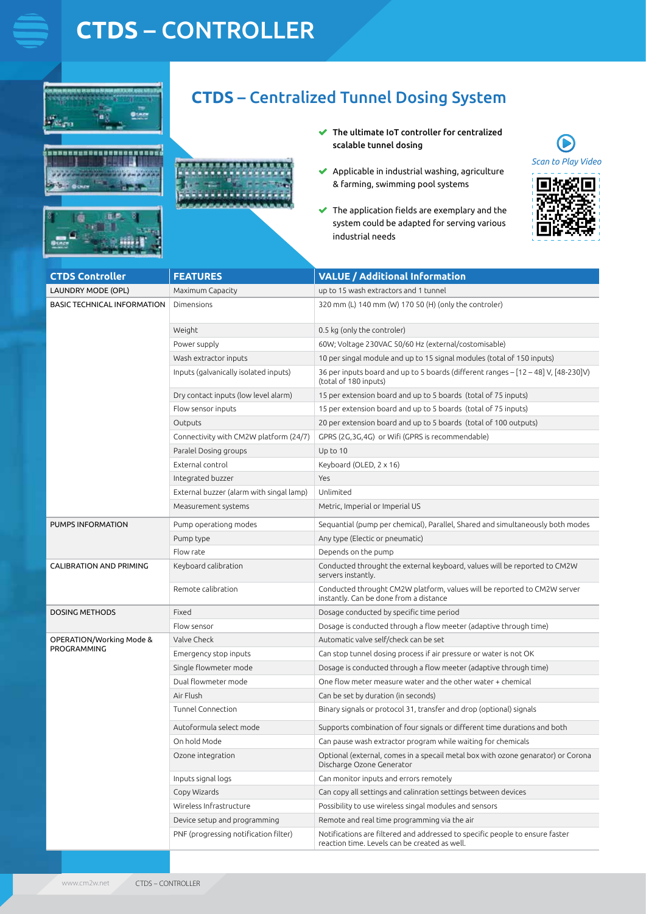# **CTDS** – CONTROLLER

**SUSDESSERES**  $\overline{u}$  is a  $\overline{u}$  if





- The ultimate IoT controller for centralized  $\overline{\mathscr{L}}$ scalable tunnel dosing
- $\blacktriangleright$  Applicable in industrial washing, agriculture & farming, swimming pool systems
- $\blacktriangleright$  The application fields are exemplary and the system could be adapted for serving various industrial needs



| <b>CTDS Controller</b>                  | <b>FEATURES</b>                          | <b>VALUE</b> / Additional Information                                                                                         |
|-----------------------------------------|------------------------------------------|-------------------------------------------------------------------------------------------------------------------------------|
| <b>LAUNDRY MODE (OPL)</b>               | Maximum Capacity                         | up to 15 wash extractors and 1 tunnel                                                                                         |
| <b>BASIC TECHNICAL INFORMATION</b>      | Dimensions                               | 320 mm (L) 140 mm (W) 170 50 (H) (only the controler)                                                                         |
|                                         | Weight                                   | 0.5 kg (only the controler)                                                                                                   |
|                                         | Power supply                             | 60W; Voltage 230VAC 50/60 Hz (external/costomisable)                                                                          |
|                                         | Wash extractor inputs                    | 10 per singal module and up to 15 signal modules (total of 150 inputs)                                                        |
|                                         | Inputs (galvanically isolated inputs)    | 36 per inputs board and up to 5 boards (different ranges - [12 - 48] V, [48-230]V)<br>(total of 180 inputs)                   |
|                                         | Dry contact inputs (low level alarm)     | 15 per extension board and up to 5 boards (total of 75 inputs)                                                                |
|                                         | Flow sensor inputs                       | 15 per extension board and up to 5 boards (total of 75 inputs)                                                                |
|                                         | Outputs                                  | 20 per extension board and up to 5 boards (total of 100 outputs)                                                              |
|                                         | Connectivity with CM2W platform (24/7)   | GPRS (2G,3G,4G) or Wifi (GPRS is recommendable)                                                                               |
|                                         | Paralel Dosing groups                    | Up to 10                                                                                                                      |
|                                         | External control                         | Keyboard (OLED, 2 x 16)                                                                                                       |
|                                         | Integrated buzzer                        | Yes                                                                                                                           |
|                                         | External buzzer (alarm with singal lamp) | Unlimited                                                                                                                     |
|                                         | Measurement systems                      | Metric, Imperial or Imperial US                                                                                               |
| PUMPS INFORMATION                       | Pump operationg modes                    | Sequantial (pump per chemical), Parallel, Shared and simultaneously both modes                                                |
|                                         | Pump type                                | Any type (Electic or pneumatic)                                                                                               |
|                                         | Flow rate                                | Depends on the pump                                                                                                           |
| <b>CALIBRATION AND PRIMING</b>          | Keyboard calibration                     | Conducted throught the external keyboard, values will be reported to CM2W<br>servers instantly.                               |
|                                         | Remote calibration                       | Conducted throught CM2W platform, values will be reported to CM2W server<br>instantly. Can be done from a distance            |
| <b>DOSING METHODS</b>                   | Fixed                                    | Dosage conducted by specific time period                                                                                      |
|                                         | Flow sensor                              | Dosage is conducted through a flow meeter (adaptive through time)                                                             |
| OPERATION/Working Mode &<br>PROGRAMMING | Valve Check                              | Automatic valve self/check can be set                                                                                         |
|                                         | Emergency stop inputs                    | Can stop tunnel dosing process if air pressure or water is not OK                                                             |
|                                         | Single flowmeter mode                    | Dosage is conducted through a flow meeter (adaptive through time)                                                             |
|                                         | Dual flowmeter mode                      | One flow meter measure water and the other water + chemical                                                                   |
|                                         | Air Flush                                | Can be set by duration (in seconds)                                                                                           |
|                                         | Tunnel Connection                        | Binary signals or protocol 31, transfer and drop (optional) signals                                                           |
|                                         | Autoformula select mode                  | Supports combination of four signals or different time durations and both                                                     |
|                                         | On hold Mode                             | Can pause wash extractor program while waiting for chemicals                                                                  |
|                                         | Ozone integration                        | Optional (external, comes in a specail metal box with ozone genarator) or Corona<br>Discharge Ozone Generator                 |
|                                         | Inputs signal logs                       | Can monitor inputs and errors remotely                                                                                        |
|                                         | Copy Wizards                             | Can copy all settings and calinration settings between devices                                                                |
|                                         | Wireless Infrastructure                  | Possibility to use wireless singal modules and sensors                                                                        |
|                                         | Device setup and programming             | Remote and real time programming via the air                                                                                  |
|                                         | PNF (progressing notification filter)    | Notifications are filtered and addressed to specific people to ensure faster<br>reaction time. Levels can be created as well. |